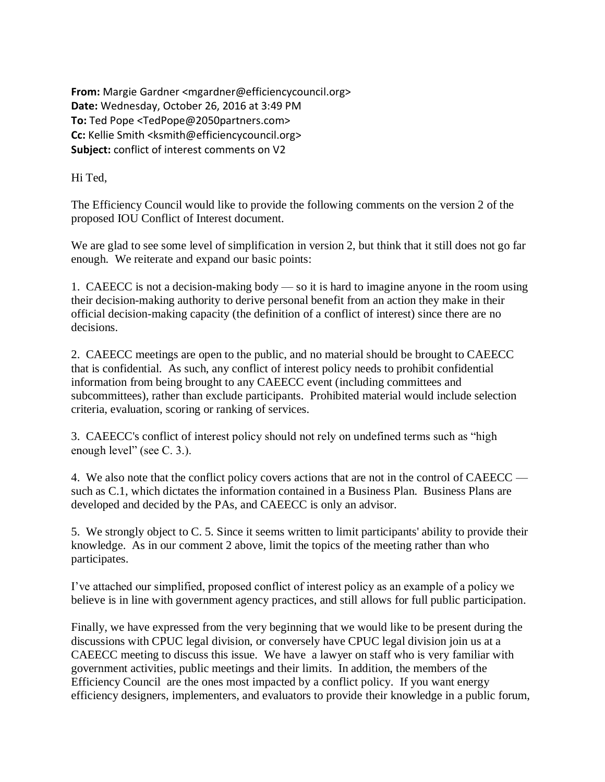**From:** Margie Gardner <mgardner@efficiencycouncil.org> **Date:** Wednesday, October 26, 2016 at 3:49 PM **To:** Ted Pope <TedPope@2050partners.com> **Cc:** Kellie Smith <ksmith@efficiencycouncil.org> **Subject:** conflict of interest comments on V2

Hi Ted,

The Efficiency Council would like to provide the following comments on the version 2 of the proposed IOU Conflict of Interest document.

We are glad to see some level of simplification in version 2, but think that it still does not go far enough. We reiterate and expand our basic points:

1. CAEECC is not a decision-making body — so it is hard to imagine anyone in the room using their decision-making authority to derive personal benefit from an action they make in their official decision-making capacity (the definition of a conflict of interest) since there are no decisions.

2. CAEECC meetings are open to the public, and no material should be brought to CAEECC that is confidential. As such, any conflict of interest policy needs to prohibit confidential information from being brought to any CAEECC event (including committees and subcommittees), rather than exclude participants. Prohibited material would include selection criteria, evaluation, scoring or ranking of services.

3. CAEECC's conflict of interest policy should not rely on undefined terms such as "high enough level" (see C. 3.).

4. We also note that the conflict policy covers actions that are not in the control of CAEECC such as C.1, which dictates the information contained in a Business Plan. Business Plans are developed and decided by the PAs, and CAEECC is only an advisor.

5. We strongly object to C. 5. Since it seems written to limit participants' ability to provide their knowledge. As in our comment 2 above, limit the topics of the meeting rather than who participates.

I've attached our simplified, proposed conflict of interest policy as an example of a policy we believe is in line with government agency practices, and still allows for full public participation.

Finally, we have expressed from the very beginning that we would like to be present during the discussions with CPUC legal division, or conversely have CPUC legal division join us at a CAEECC meeting to discuss this issue. We have a lawyer on staff who is very familiar with government activities, public meetings and their limits. In addition, the members of the Efficiency Council are the ones most impacted by a conflict policy. If you want energy efficiency designers, implementers, and evaluators to provide their knowledge in a public forum,